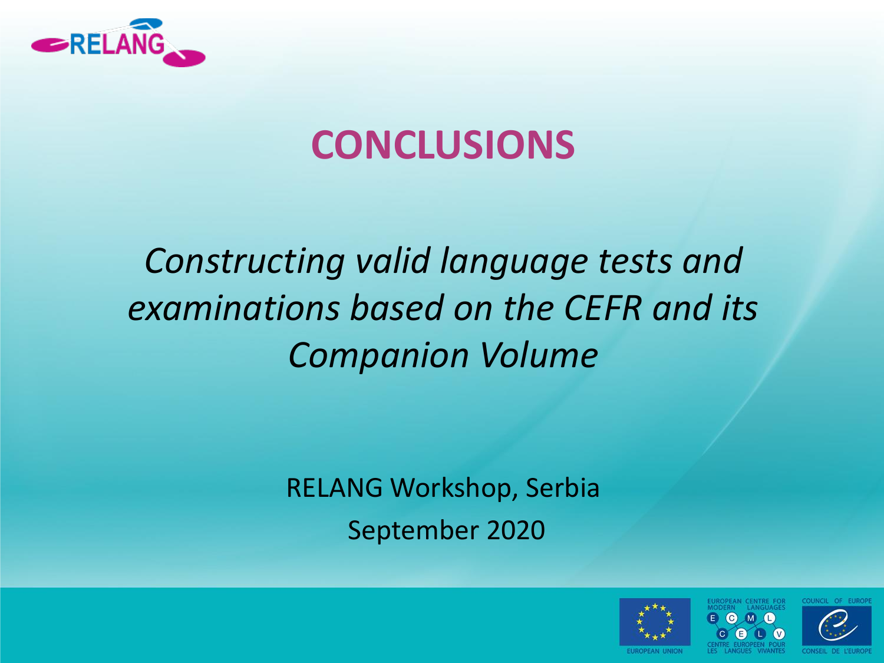

### **CONCLUSIONS**

## *Constructing valid language tests and examinations based on the CEFR and its Companion Volume*

RELANG Workshop, Serbia September 2020





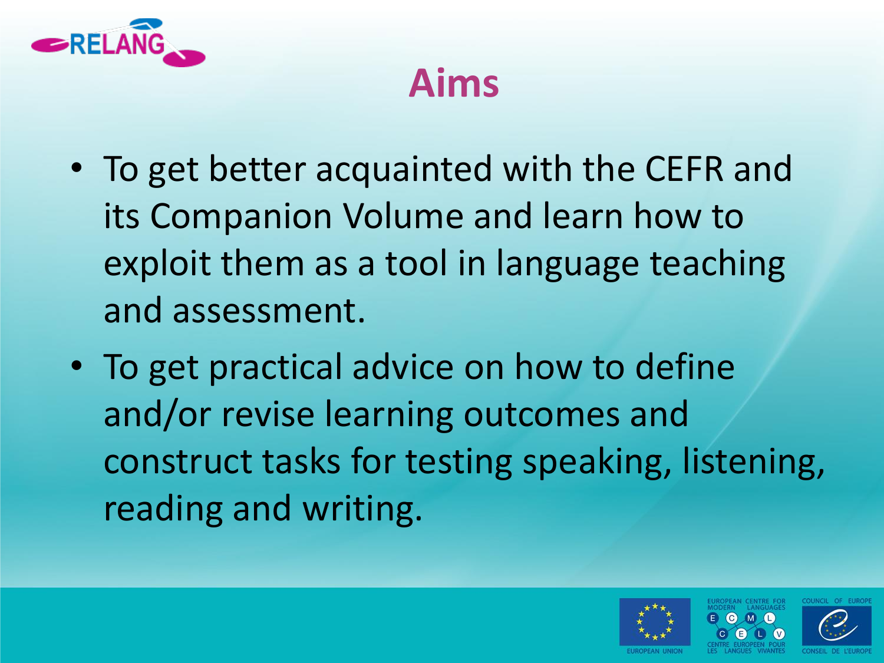

#### **Aims**

- To get better acquainted with the CEFR and its Companion Volume and learn how to exploit them as a tool in language teaching and assessment.
- To get practical advice on how to define and/or revise learning outcomes and construct tasks for testing speaking, listening, reading and writing.

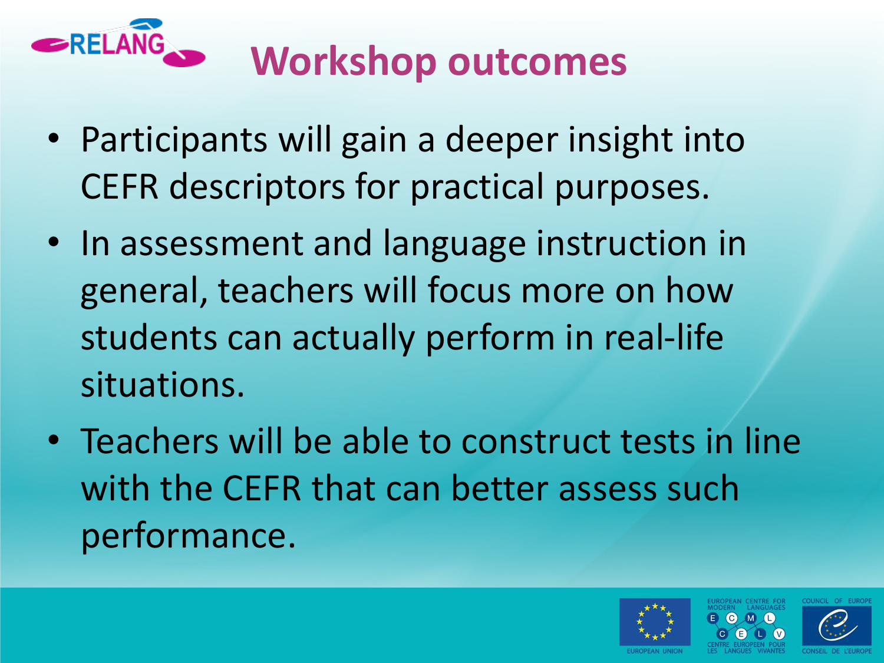

# **Workshop outcomes**

- Participants will gain a deeper insight into CEFR descriptors for practical purposes.
- In assessment and language instruction in general, teachers will focus more on how students can actually perform in real-life situations.
- Teachers will be able to construct tests in line with the CEFR that can better assess such performance.

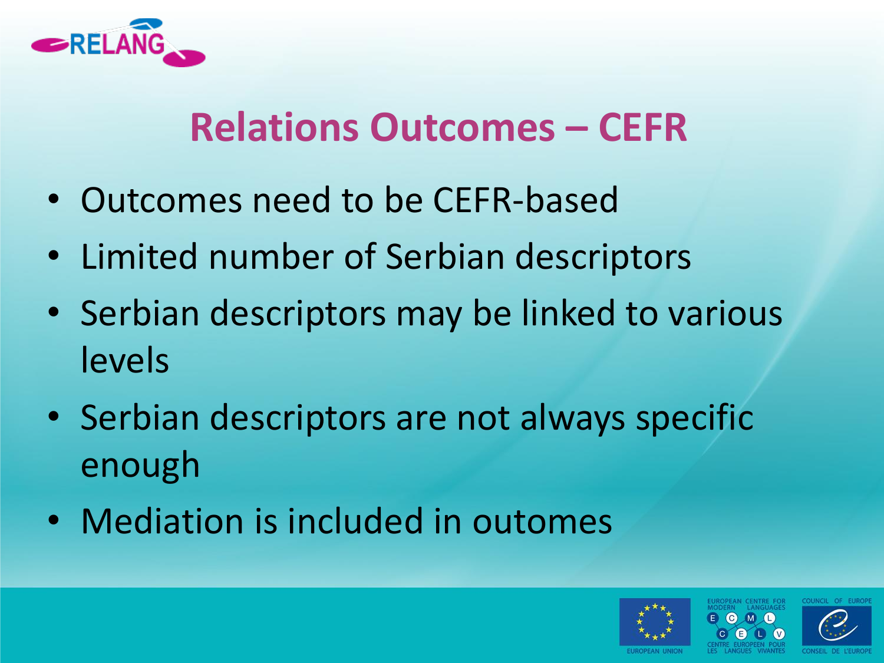

#### **Relations Outcomes – CEFR**

- Outcomes need to be CEFR-based
- Limited number of Serbian descriptors
- Serbian descriptors may be linked to various levels
- Serbian descriptors are not always specific enough
- Mediation is included in outomes



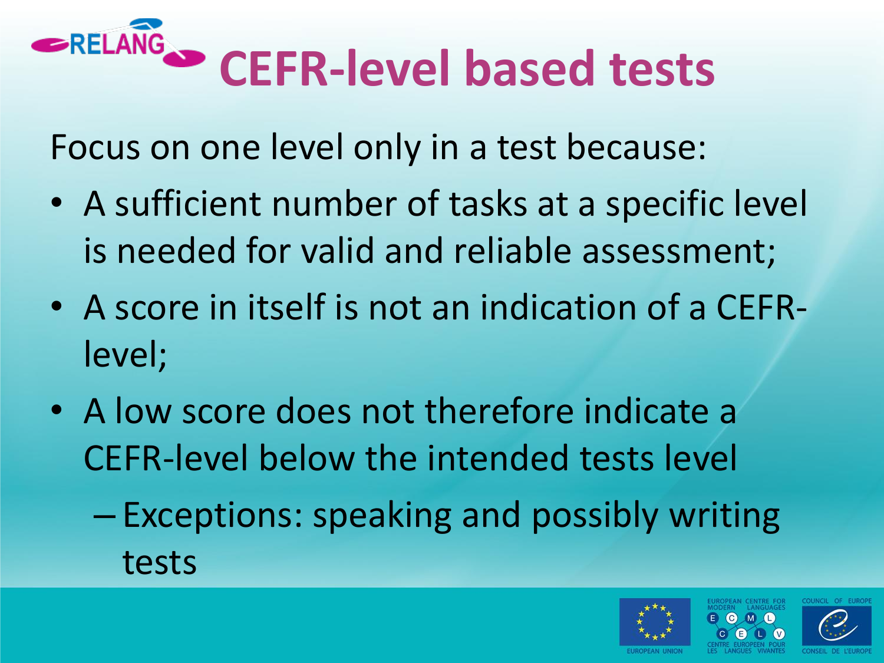# **CEFR-level based tests**

Focus on one level only in a test because:

- A sufficient number of tasks at a specific level is needed for valid and reliable assessment;
- A score in itself is not an indication of a CEFRlevel;
- A low score does not therefore indicate a CEFR-level below the intended tests level
	- Exceptions: speaking and possibly writing tests

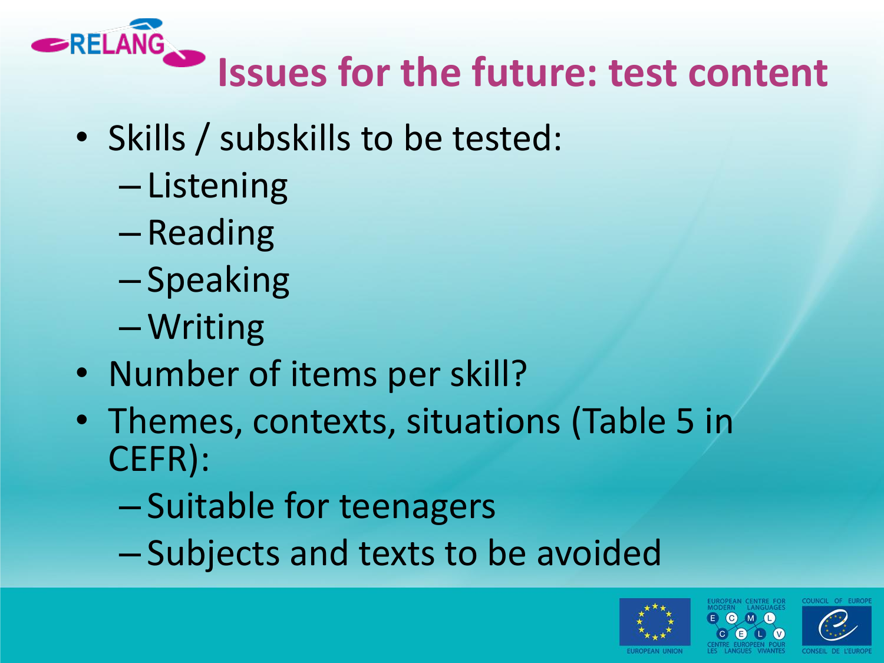

# **Issues for the future: test content**

- Skills / subskills to be tested:
	- Listening
	- Reading
	- Speaking
	- –Writing
- Number of items per skill?
- Themes, contexts, situations (Table 5 in CEFR):
	- Suitable for teenagers
	- Subjects and texts to be avoided



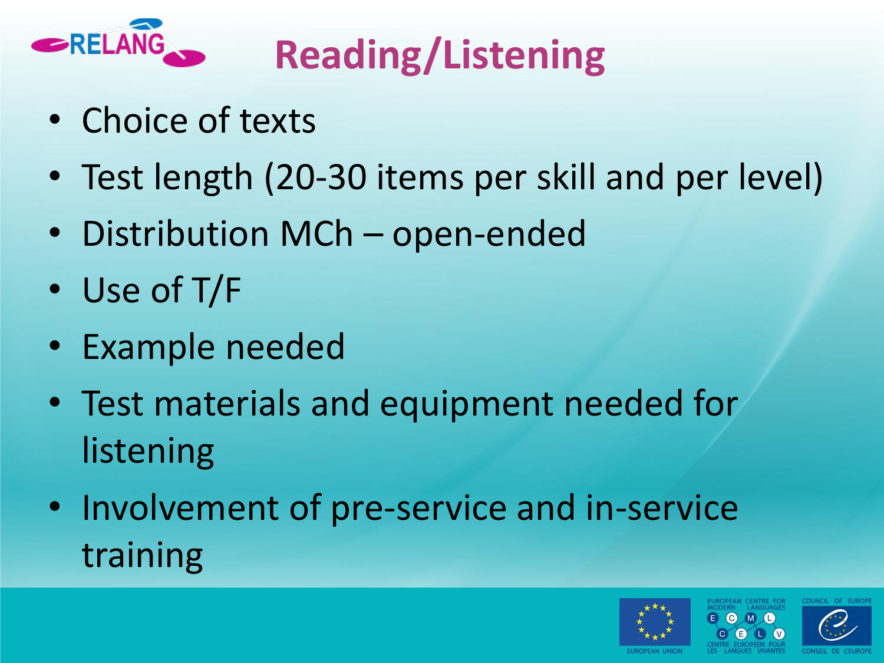

# **Reading/Listening**

- Choice of texts
- Test length (20-30 items per skill and per level)
- Distribution MCh open-ended
- Use of T/F
- Example needed
- Test materials and equipment needed for listening
- Involvement of pre-service and in-service training

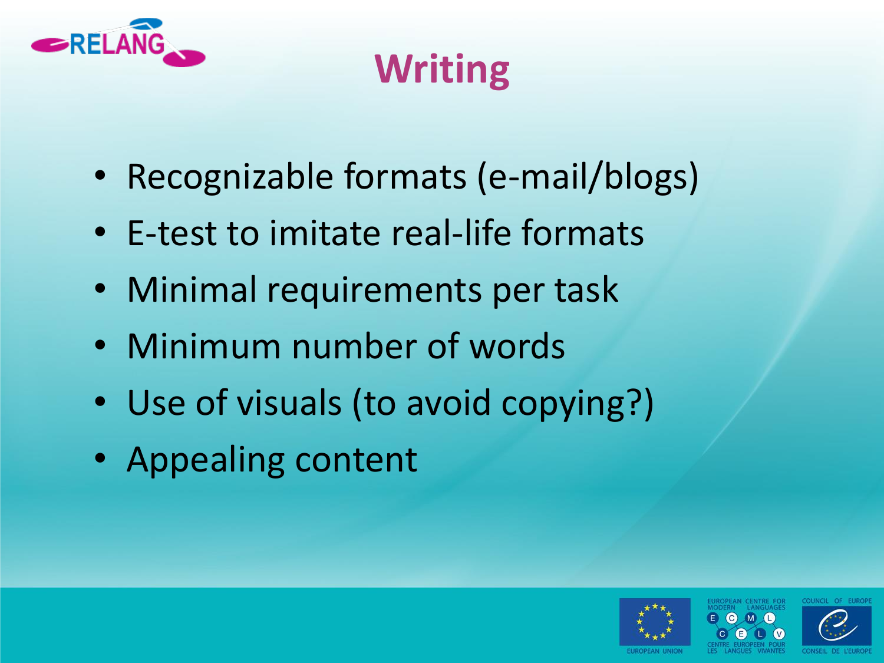

# **Writing**

- Recognizable formats (e-mail/blogs)
- E-test to imitate real-life formats
- Minimal requirements per task
- Minimum number of words
- Use of visuals (to avoid copying?)
- Appealing content

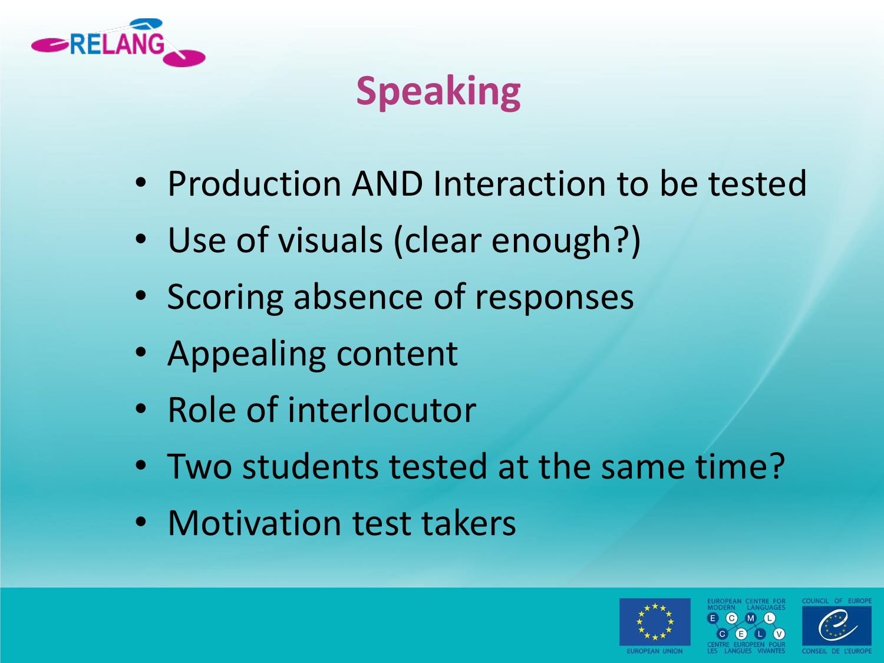

## **Speaking**

- Production AND Interaction to be tested
- Use of visuals (clear enough?)
- Scoring absence of responses
- Appealing content
- Role of interlocutor
- Two students tested at the same time?
- Motivation test takers



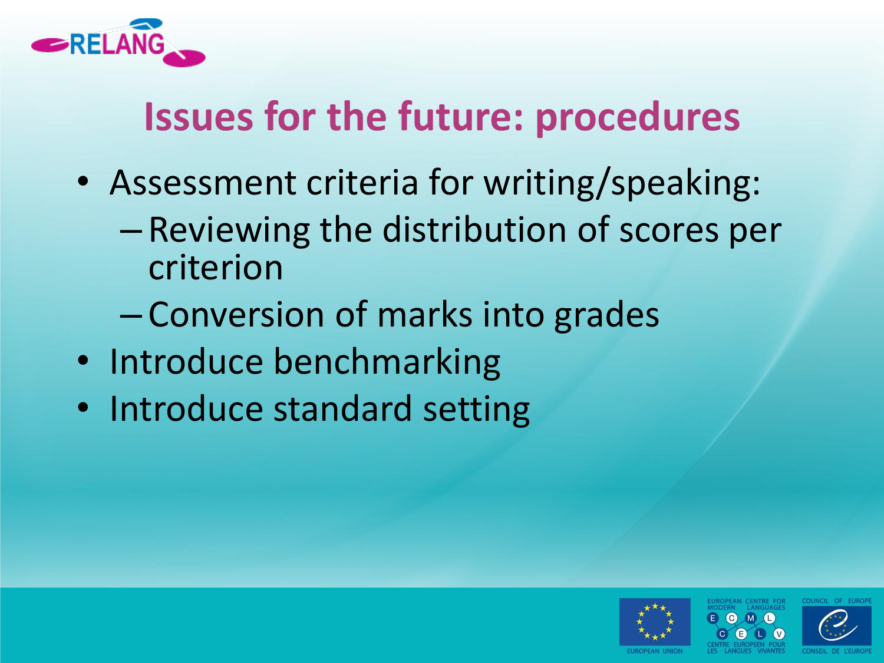

## **Issues for the future: procedures**

- Assessment criteria for writing/speaking:
	- Reviewing the distribution of scores per criterion
	- Conversion of marks into grades
- Introduce benchmarking
- Introduce standard setting



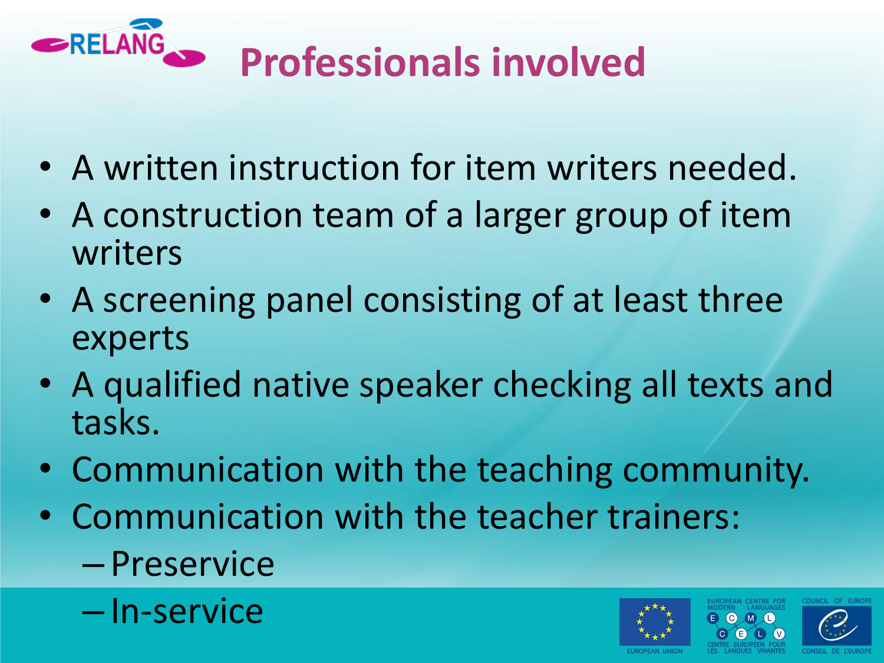

- A written instruction for item writers needed.
- A construction team of a larger group of item writers
- A screening panel consisting of at least three experts
- A qualified native speaker checking all texts and tasks.
- Communication with the teaching community.
- Communication with the teacher trainers:
	- Preservice
	- In-service